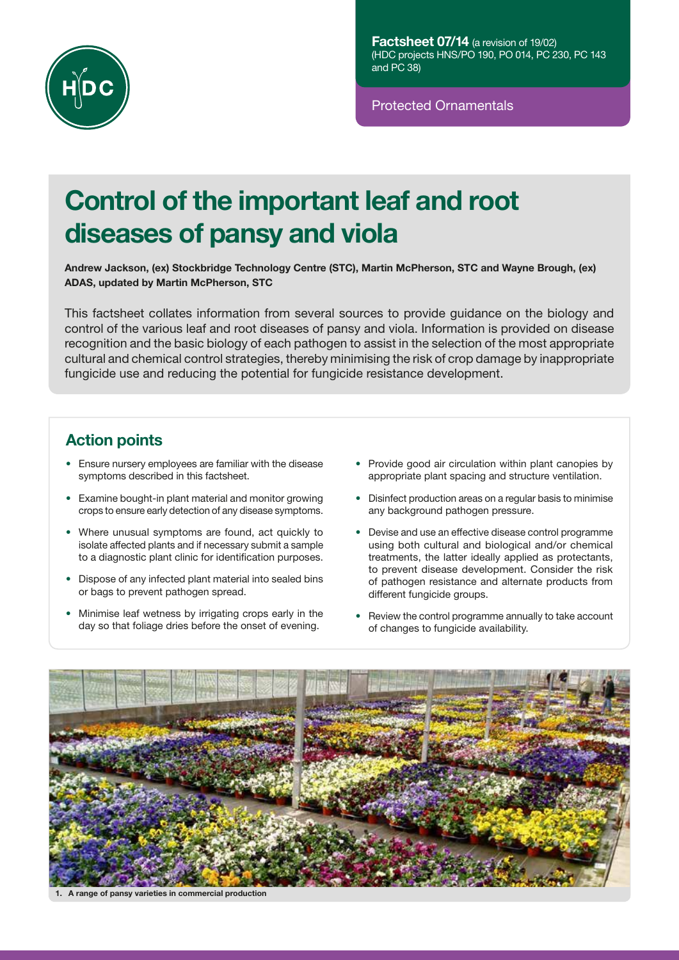

Protected Ornamentals

# Control of the important leaf and root diseases of pansy and viola

Andrew Jackson, (ex) Stockbridge Technology Centre (STC), Martin McPherson, STC and Wayne Brough, (ex) ADAS, updated by Martin McPherson, STC

This factsheet collates information from several sources to provide guidance on the biology and control of the various leaf and root diseases of pansy and viola. Information is provided on disease recognition and the basic biology of each pathogen to assist in the selection of the most appropriate cultural and chemical control strategies, thereby minimising the risk of crop damage by inappropriate fungicide use and reducing the potential for fungicide resistance development.

# Action points

- Ensure nursery employees are familiar with the disease symptoms described in this factsheet.
- Examine bought-in plant material and monitor growing crops to ensure early detection of any disease symptoms.
- Where unusual symptoms are found, act quickly to isolate affected plants and if necessary submit a sample to a diagnostic plant clinic for identification purposes.
- Dispose of any infected plant material into sealed bins or bags to prevent pathogen spread.
- Minimise leaf wetness by irrigating crops early in the day so that foliage dries before the onset of evening.
- Provide good air circulation within plant canopies by appropriate plant spacing and structure ventilation.
- Disinfect production areas on a regular basis to minimise any background pathogen pressure.
- Devise and use an effective disease control programme using both cultural and biological and/or chemical treatments, the latter ideally applied as protectants, to prevent disease development. Consider the risk of pathogen resistance and alternate products from different fungicide groups.
- Review the control programme annually to take account of changes to fungicide availability.



A range of pansy varieties in commercial production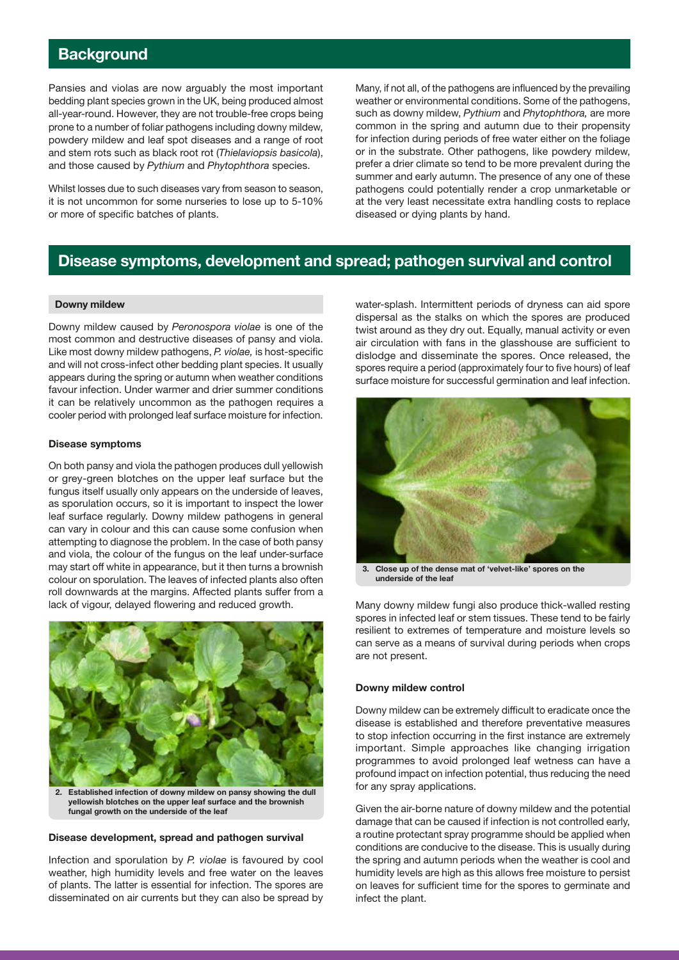# **Background**

Pansies and violas are now arguably the most important bedding plant species grown in the UK, being produced almost all-year-round. However, they are not trouble-free crops being prone to a number of foliar pathogens including downy mildew, powdery mildew and leaf spot diseases and a range of root and stem rots such as black root rot (*Thielaviopsis basicola*), and those caused by *Pythium* and *Phytophthora* species.

Whilst losses due to such diseases vary from season to season, it is not uncommon for some nurseries to lose up to 5-10% or more of specific batches of plants.

Many, if not all, of the pathogens are influenced by the prevailing weather or environmental conditions. Some of the pathogens, such as downy mildew, *Pythium* and *Phytophthora,* are more common in the spring and autumn due to their propensity for infection during periods of free water either on the foliage or in the substrate. Other pathogens, like powdery mildew, prefer a drier climate so tend to be more prevalent during the summer and early autumn. The presence of any one of these pathogens could potentially render a crop unmarketable or at the very least necessitate extra handling costs to replace diseased or dying plants by hand.

### Disease symptoms, development and spread; pathogen survival and control

#### Downy mildew

Downy mildew caused by *Peronospora violae* is one of the most common and destructive diseases of pansy and viola. Like most downy mildew pathogens, *P. violae,* is host-specific and will not cross-infect other bedding plant species. It usually appears during the spring or autumn when weather conditions favour infection. Under warmer and drier summer conditions it can be relatively uncommon as the pathogen requires a cooler period with prolonged leaf surface moisture for infection.

#### Disease symptoms

On both pansy and viola the pathogen produces dull yellowish or grey-green blotches on the upper leaf surface but the fungus itself usually only appears on the underside of leaves, as sporulation occurs, so it is important to inspect the lower leaf surface regularly. Downy mildew pathogens in general can vary in colour and this can cause some confusion when attempting to diagnose the problem. In the case of both pansy and viola, the colour of the fungus on the leaf under-surface may start off white in appearance, but it then turns a brownish colour on sporulation. The leaves of infected plants also often roll downwards at the margins. Affected plants suffer from a lack of vigour, delayed flowering and reduced growth.



Established infection of downy mildew on pansy showing the dull yellowish blotches on the upper leaf surface and the brownish fungal growth on the underside of the leaf

#### Disease development, spread and pathogen survival

Infection and sporulation by *P. violae* is favoured by cool weather, high humidity levels and free water on the leaves of plants. The latter is essential for infection. The spores are disseminated on air currents but they can also be spread by water-splash. Intermittent periods of dryness can aid spore dispersal as the stalks on which the spores are produced twist around as they dry out. Equally, manual activity or even air circulation with fans in the glasshouse are sufficient to dislodge and disseminate the spores. Once released, the spores require a period (approximately four to five hours) of leaf surface moisture for successful germination and leaf infection.



3. Close up of the dense mat of 'velvet-like' spores on the underside of the leaf

Many downy mildew fungi also produce thick-walled resting spores in infected leaf or stem tissues. These tend to be fairly resilient to extremes of temperature and moisture levels so can serve as a means of survival during periods when crops are not present.

#### Downy mildew control

Downy mildew can be extremely difficult to eradicate once the disease is established and therefore preventative measures to stop infection occurring in the first instance are extremely important. Simple approaches like changing irrigation programmes to avoid prolonged leaf wetness can have a profound impact on infection potential, thus reducing the need for any spray applications.

Given the air-borne nature of downy mildew and the potential damage that can be caused if infection is not controlled early, a routine protectant spray programme should be applied when conditions are conducive to the disease. This is usually during the spring and autumn periods when the weather is cool and humidity levels are high as this allows free moisture to persist on leaves for sufficient time for the spores to germinate and infect the plant.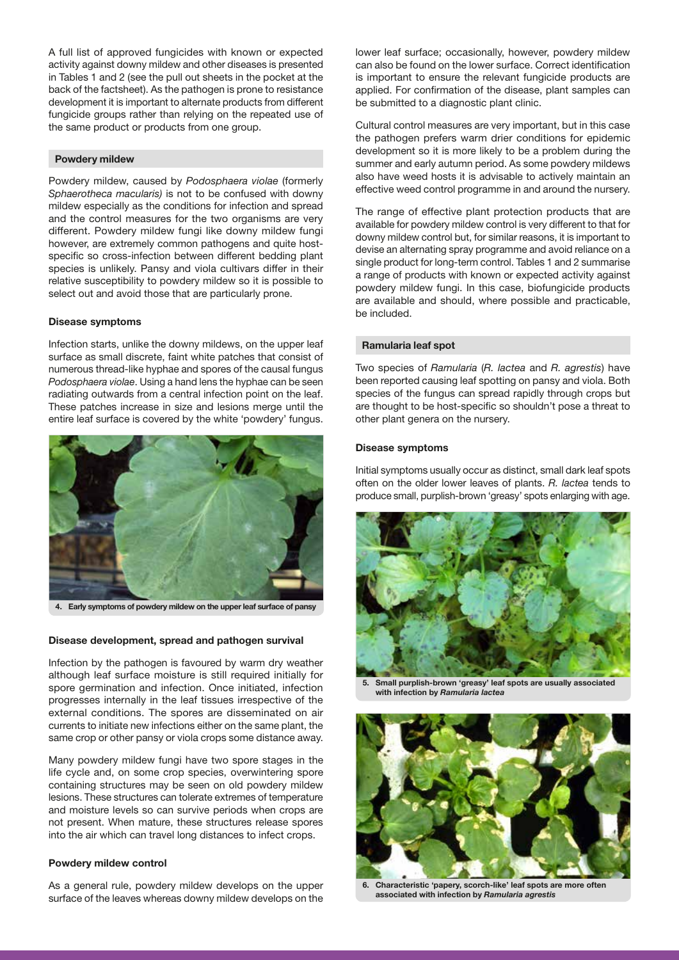A full list of approved fungicides with known or expected activity against downy mildew and other diseases is presented in Tables 1 and 2 (see the pull out sheets in the pocket at the back of the factsheet). As the pathogen is prone to resistance development it is important to alternate products from different fungicide groups rather than relying on the repeated use of the same product or products from one group.

#### Powdery mildew

Powdery mildew, caused by *Podosphaera violae* (formerly *Sphaerotheca macularis)* is not to be confused with downy mildew especially as the conditions for infection and spread and the control measures for the two organisms are very different. Powdery mildew fungi like downy mildew fungi however, are extremely common pathogens and quite hostspecific so cross-infection between different bedding plant species is unlikely. Pansy and viola cultivars differ in their relative susceptibility to powdery mildew so it is possible to select out and avoid those that are particularly prone.

#### Disease symptoms

Infection starts, unlike the downy mildews, on the upper leaf surface as small discrete, faint white patches that consist of numerous thread-like hyphae and spores of the causal fungus *Podosphaera violae*. Using a hand lens the hyphae can be seen radiating outwards from a central infection point on the leaf. These patches increase in size and lesions merge until the entire leaf surface is covered by the white 'powdery' fungus.



4. Early symptoms of powdery mildew on the upper leaf surface of pansy

#### Disease development, spread and pathogen survival

Infection by the pathogen is favoured by warm dry weather although leaf surface moisture is still required initially for spore germination and infection. Once initiated, infection progresses internally in the leaf tissues irrespective of the external conditions. The spores are disseminated on air currents to initiate new infections either on the same plant, the same crop or other pansy or viola crops some distance away.

Many powdery mildew fungi have two spore stages in the life cycle and, on some crop species, overwintering spore containing structures may be seen on old powdery mildew lesions. These structures can tolerate extremes of temperature and moisture levels so can survive periods when crops are not present. When mature, these structures release spores into the air which can travel long distances to infect crops.

#### Powdery mildew control

As a general rule, powdery mildew develops on the upper surface of the leaves whereas downy mildew develops on the lower leaf surface; occasionally, however, powdery mildew can also be found on the lower surface. Correct identification is important to ensure the relevant fungicide products are applied. For confirmation of the disease, plant samples can be submitted to a diagnostic plant clinic.

Cultural control measures are very important, but in this case the pathogen prefers warm drier conditions for epidemic development so it is more likely to be a problem during the summer and early autumn period. As some powdery mildews also have weed hosts it is advisable to actively maintain an effective weed control programme in and around the nursery.

The range of effective plant protection products that are available for powdery mildew control is very different to that for downy mildew control but, for similar reasons, it is important to devise an alternating spray programme and avoid reliance on a single product for long-term control. Tables 1 and 2 summarise a range of products with known or expected activity against powdery mildew fungi. In this case, biofungicide products are available and should, where possible and practicable, be included.

#### Ramularia leaf spot

Two species of *Ramularia* (*R. lactea* and *R. agrestis*) have been reported causing leaf spotting on pansy and viola. Both species of the fungus can spread rapidly through crops but are thought to be host-specific so shouldn't pose a threat to other plant genera on the nursery.

#### Disease symptoms

Initial symptoms usually occur as distinct, small dark leaf spots often on the older lower leaves of plants. *R. lactea* tends to produce small, purplish-brown 'greasy' spots enlarging with age.



Small purplish-brown 'greasy' leaf spots are usually associated with infection by *Ramularia lactea*



6. Characteristic 'papery, scorch-like' leaf spots are more often associated with infection by *Ramularia agrestis*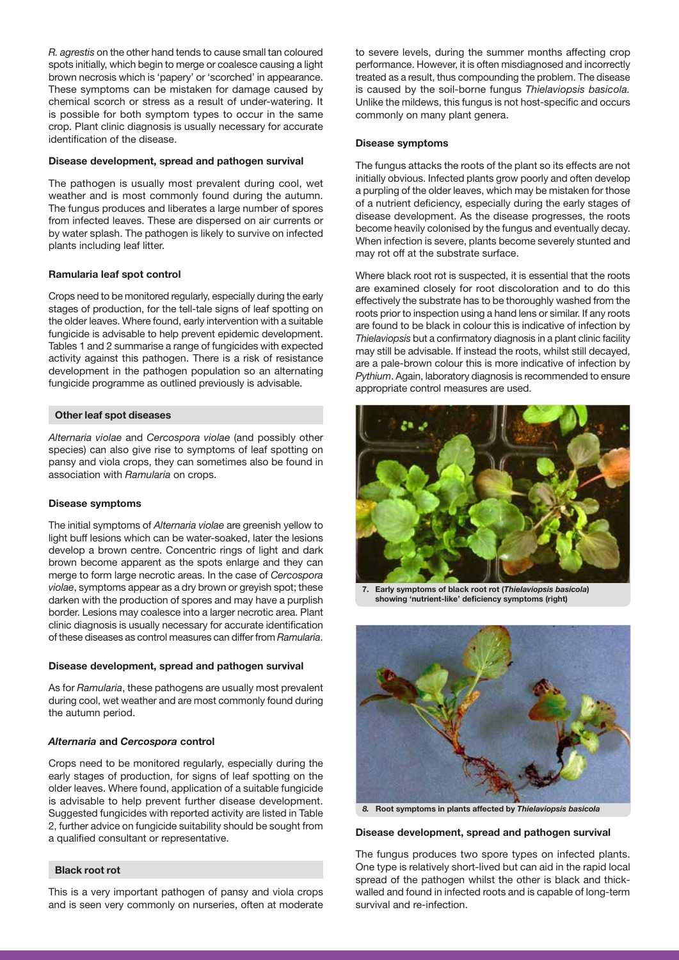*R. agrestis* on the other hand tends to cause small tan coloured spots initially, which begin to merge or coalesce causing a light brown necrosis which is 'papery' or 'scorched' in appearance. These symptoms can be mistaken for damage caused by chemical scorch or stress as a result of under-watering. It is possible for both symptom types to occur in the same crop. Plant clinic diagnosis is usually necessary for accurate identification of the disease.

#### Disease development, spread and pathogen survival

The pathogen is usually most prevalent during cool, wet weather and is most commonly found during the autumn. The fungus produces and liberates a large number of spores from infected leaves. These are dispersed on air currents or by water splash. The pathogen is likely to survive on infected plants including leaf litter.

#### Ramularia leaf spot control

Crops need to be monitored regularly, especially during the early stages of production, for the tell-tale signs of leaf spotting on the older leaves. Where found, early intervention with a suitable fungicide is advisable to help prevent epidemic development. Tables 1 and 2 summarise a range of fungicides with expected activity against this pathogen. There is a risk of resistance development in the pathogen population so an alternating fungicide programme as outlined previously is advisable.

#### Other leaf spot diseases

*Alternaria violae* and *Cercospora violae* (and possibly other species) can also give rise to symptoms of leaf spotting on pansy and viola crops, they can sometimes also be found in association with *Ramularia* on crops.

#### Disease symptoms

The initial symptoms of *Alternaria violae* are greenish yellow to light buff lesions which can be water-soaked, later the lesions develop a brown centre. Concentric rings of light and dark brown become apparent as the spots enlarge and they can merge to form large necrotic areas. In the case of *Cercospora violae*, symptoms appear as a dry brown or greyish spot; these darken with the production of spores and may have a purplish border. Lesions may coalesce into a larger necrotic area. Plant clinic diagnosis is usually necessary for accurate identification of these diseases as control measures can differ from *Ramularia*.

#### Disease development, spread and pathogen survival

As for *Ramularia*, these pathogens are usually most prevalent during cool, wet weather and are most commonly found during the autumn period.

#### *Alternaria* and *Cercospora* control

Crops need to be monitored regularly, especially during the early stages of production, for signs of leaf spotting on the older leaves. Where found, application of a suitable fungicide is advisable to help prevent further disease development. Suggested fungicides with reported activity are listed in Table 2, further advice on fungicide suitability should be sought from a qualified consultant or representative.

#### Black root rot

This is a very important pathogen of pansy and viola crops and is seen very commonly on nurseries, often at moderate to severe levels, during the summer months affecting crop performance. However, it is often misdiagnosed and incorrectly treated as a result, thus compounding the problem. The disease is caused by the soil-borne fungus *Thielaviopsis basicola.*  Unlike the mildews, this fungus is not host-specific and occurs commonly on many plant genera.

#### Disease symptoms

The fungus attacks the roots of the plant so its effects are not initially obvious. Infected plants grow poorly and often develop a purpling of the older leaves, which may be mistaken for those of a nutrient deficiency, especially during the early stages of disease development. As the disease progresses, the roots become heavily colonised by the fungus and eventually decay. When infection is severe, plants become severely stunted and may rot off at the substrate surface.

Where black root rot is suspected, it is essential that the roots are examined closely for root discoloration and to do this effectively the substrate has to be thoroughly washed from the roots prior to inspection using a hand lens or similar. If any roots are found to be black in colour this is indicative of infection by *Thielaviopsis* but a confirmatory diagnosis in a plant clinic facility may still be advisable. If instead the roots, whilst still decayed, are a pale-brown colour this is more indicative of infection by *Pythium*. Again, laboratory diagnosis is recommended to ensure appropriate control measures are used.



7. Early symptoms of black root rot (*Thielaviopsis basicola*) showing 'nutrient-like' deficiency symptoms (right)



*8.* Root symptoms in plants affected by *Thielaviopsis basicola*

Disease development, spread and pathogen survival

The fungus produces two spore types on infected plants. One type is relatively short-lived but can aid in the rapid local spread of the pathogen whilst the other is black and thickwalled and found in infected roots and is capable of long-term survival and re-infection.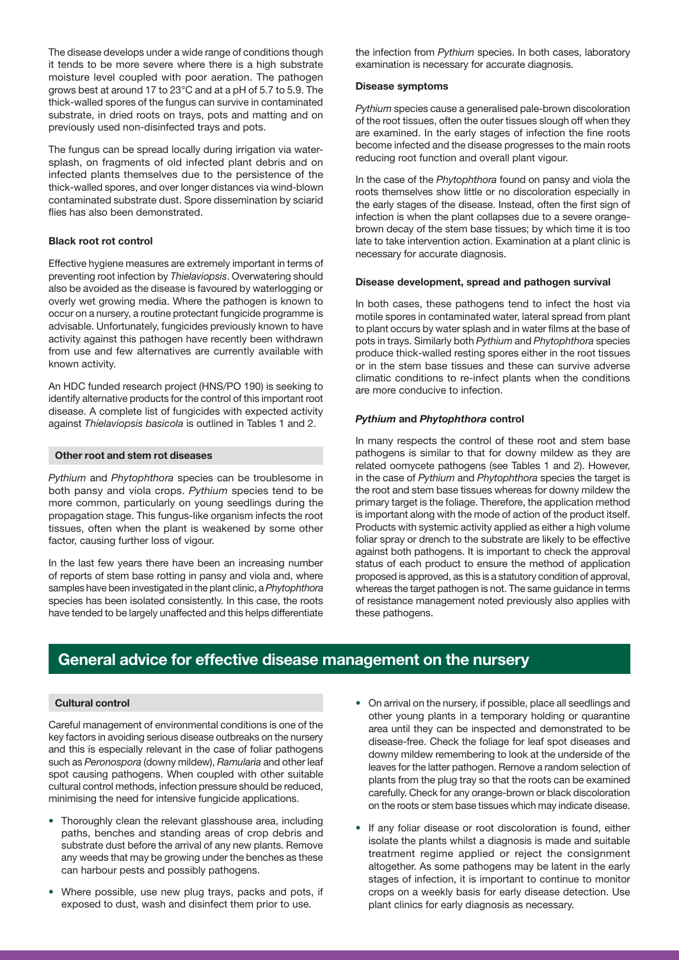The disease develops under a wide range of conditions though it tends to be more severe where there is a high substrate moisture level coupled with poor aeration. The pathogen grows best at around 17 to 23°C and at a pH of 5.7 to 5.9. The thick-walled spores of the fungus can survive in contaminated substrate, in dried roots on trays, pots and matting and on previously used non-disinfected trays and pots.

The fungus can be spread locally during irrigation via watersplash, on fragments of old infected plant debris and on infected plants themselves due to the persistence of the thick-walled spores, and over longer distances via wind-blown contaminated substrate dust. Spore dissemination by sciarid flies has also been demonstrated.

#### Black root rot control

Effective hygiene measures are extremely important in terms of preventing root infection by *Thielaviopsis*. Overwatering should also be avoided as the disease is favoured by waterlogging or overly wet growing media. Where the pathogen is known to occur on a nursery, a routine protectant fungicide programme is advisable. Unfortunately, fungicides previously known to have activity against this pathogen have recently been withdrawn from use and few alternatives are currently available with known activity.

An HDC funded research project (HNS/PO 190) is seeking to identify alternative products for the control of this important root disease. A complete list of fungicides with expected activity against *Thielaviopsis basicola* is outlined in Tables 1 and 2.

#### Other root and stem rot diseases

*Pythium* and *Phytophthora* species can be troublesome in both pansy and viola crops. *Pythium* species tend to be more common, particularly on young seedlings during the propagation stage. This fungus-like organism infects the root tissues, often when the plant is weakened by some other factor, causing further loss of vigour.

In the last few years there have been an increasing number of reports of stem base rotting in pansy and viola and, where samples have been investigated in the plant clinic, a *Phytophthora* species has been isolated consistently. In this case, the roots have tended to be largely unaffected and this helps differentiate the infection from *Pythium* species. In both cases, laboratory examination is necessary for accurate diagnosis.

#### Disease symptoms

*Pythium* species cause a generalised pale-brown discoloration of the root tissues, often the outer tissues slough off when they are examined. In the early stages of infection the fine roots become infected and the disease progresses to the main roots reducing root function and overall plant vigour.

In the case of the *Phytophthora* found on pansy and viola the roots themselves show little or no discoloration especially in the early stages of the disease. Instead, often the first sign of infection is when the plant collapses due to a severe orangebrown decay of the stem base tissues; by which time it is too late to take intervention action. Examination at a plant clinic is necessary for accurate diagnosis.

#### Disease development, spread and pathogen survival

In both cases, these pathogens tend to infect the host via motile spores in contaminated water, lateral spread from plant to plant occurs by water splash and in water films at the base of pots in trays. Similarly both *Pythium* and *Phytophthora* species produce thick-walled resting spores either in the root tissues or in the stem base tissues and these can survive adverse climatic conditions to re-infect plants when the conditions are more conducive to infection.

#### *Pythium* and *Phytophthora* control

In many respects the control of these root and stem base pathogens is similar to that for downy mildew as they are related oomycete pathogens (see Tables 1 and 2). However, in the case of *Pythium* and *Phytophthora* species the target is the root and stem base tissues whereas for downy mildew the primary target is the foliage. Therefore, the application method is important along with the mode of action of the product itself. Products with systemic activity applied as either a high volume foliar spray or drench to the substrate are likely to be effective against both pathogens. It is important to check the approval status of each product to ensure the method of application proposed is approved, as this is a statutory condition of approval, whereas the target pathogen is not. The same guidance in terms of resistance management noted previously also applies with these pathogens.

# General advice for effective disease management on the nursery

#### Cultural control

Careful management of environmental conditions is one of the key factors in avoiding serious disease outbreaks on the nursery and this is especially relevant in the case of foliar pathogens such as *Peronospora* (downy mildew), *Ramularia* and other leaf spot causing pathogens. When coupled with other suitable cultural control methods, infection pressure should be reduced, minimising the need for intensive fungicide applications.

- Thoroughly clean the relevant glasshouse area, including paths, benches and standing areas of crop debris and substrate dust before the arrival of any new plants. Remove any weeds that may be growing under the benches as these can harbour pests and possibly pathogens.
- Where possible, use new plug trays, packs and pots, if exposed to dust, wash and disinfect them prior to use.
- On arrival on the nursery, if possible, place all seedlings and other young plants in a temporary holding or quarantine area until they can be inspected and demonstrated to be disease-free. Check the foliage for leaf spot diseases and downy mildew remembering to look at the underside of the leaves for the latter pathogen. Remove a random selection of plants from the plug tray so that the roots can be examined carefully. Check for any orange-brown or black discoloration on the roots or stem base tissues which may indicate disease.
- If any foliar disease or root discoloration is found, either isolate the plants whilst a diagnosis is made and suitable treatment regime applied or reject the consignment altogether. As some pathogens may be latent in the early stages of infection, it is important to continue to monitor crops on a weekly basis for early disease detection. Use plant clinics for early diagnosis as necessary.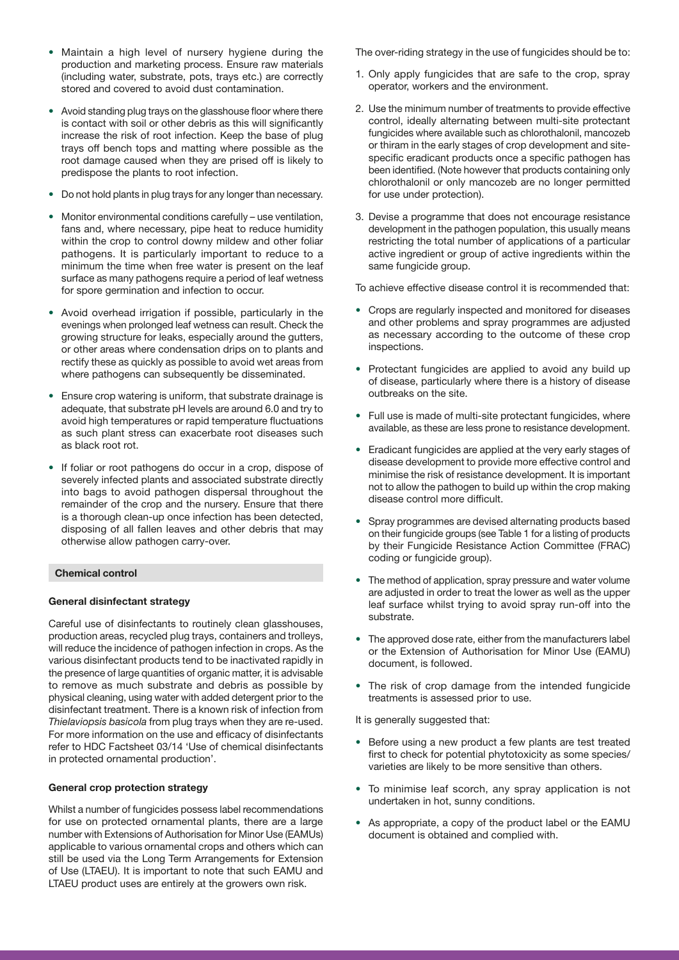- Maintain a high level of nursery hygiene during the production and marketing process. Ensure raw materials (including water, substrate, pots, trays etc.) are correctly stored and covered to avoid dust contamination.
- Avoid standing plug trays on the glasshouse floor where there is contact with soil or other debris as this will significantly increase the risk of root infection. Keep the base of plug trays off bench tops and matting where possible as the root damage caused when they are prised off is likely to predispose the plants to root infection.
- Do not hold plants in plug trays for any longer than necessary.
- Monitor environmental conditions carefully use ventilation, fans and, where necessary, pipe heat to reduce humidity within the crop to control downy mildew and other foliar pathogens. It is particularly important to reduce to a minimum the time when free water is present on the leaf surface as many pathogens require a period of leaf wetness for spore germination and infection to occur.
- Avoid overhead irrigation if possible, particularly in the evenings when prolonged leaf wetness can result. Check the growing structure for leaks, especially around the gutters, or other areas where condensation drips on to plants and rectify these as quickly as possible to avoid wet areas from where pathogens can subsequently be disseminated.
- Ensure crop watering is uniform, that substrate drainage is adequate, that substrate pH levels are around 6.0 and try to avoid high temperatures or rapid temperature fluctuations as such plant stress can exacerbate root diseases such as black root rot.
- If foliar or root pathogens do occur in a crop, dispose of severely infected plants and associated substrate directly into bags to avoid pathogen dispersal throughout the remainder of the crop and the nursery. Ensure that there is a thorough clean-up once infection has been detected, disposing of all fallen leaves and other debris that may otherwise allow pathogen carry-over.

#### Chemical control

#### General disinfectant strategy

Careful use of disinfectants to routinely clean glasshouses, production areas, recycled plug trays, containers and trolleys, will reduce the incidence of pathogen infection in crops. As the various disinfectant products tend to be inactivated rapidly in the presence of large quantities of organic matter, it is advisable to remove as much substrate and debris as possible by physical cleaning, using water with added detergent prior to the disinfectant treatment. There is a known risk of infection from *Thielaviopsis basicola* from plug trays when they are re-used. For more information on the use and efficacy of disinfectants refer to HDC Factsheet 03/14 'Use of chemical disinfectants in protected ornamental production'.

#### General crop protection strategy

Whilst a number of fungicides possess label recommendations for use on protected ornamental plants, there are a large number with Extensions of Authorisation for Minor Use (EAMUs) applicable to various ornamental crops and others which can still be used via the Long Term Arrangements for Extension of Use (LTAEU). It is important to note that such EAMU and LTAEU product uses are entirely at the growers own risk.

The over-riding strategy in the use of fungicides should be to:

- 1. Only apply fungicides that are safe to the crop, spray operator, workers and the environment.
- 2. Use the minimum number of treatments to provide effective control, ideally alternating between multi-site protectant fungicides where available such as chlorothalonil, mancozeb or thiram in the early stages of crop development and sitespecific eradicant products once a specific pathogen has been identified. (Note however that products containing only chlorothalonil or only mancozeb are no longer permitted for use under protection).
- 3. Devise a programme that does not encourage resistance development in the pathogen population, this usually means restricting the total number of applications of a particular active ingredient or group of active ingredients within the same fungicide group.

To achieve effective disease control it is recommended that:

- Crops are regularly inspected and monitored for diseases and other problems and spray programmes are adjusted as necessary according to the outcome of these crop inspections.
- Protectant fungicides are applied to avoid any build up of disease, particularly where there is a history of disease outbreaks on the site.
- Full use is made of multi-site protectant fungicides, where available, as these are less prone to resistance development.
- Eradicant fungicides are applied at the very early stages of disease development to provide more effective control and minimise the risk of resistance development. It is important not to allow the pathogen to build up within the crop making disease control more difficult.
- Spray programmes are devised alternating products based on their fungicide groups (see Table 1 for a listing of products by their Fungicide Resistance Action Committee (FRAC) coding or fungicide group).
- The method of application, spray pressure and water volume are adjusted in order to treat the lower as well as the upper leaf surface whilst trying to avoid spray run-off into the substrate.
- The approved dose rate, either from the manufacturers label or the Extension of Authorisation for Minor Use (EAMU) document, is followed.
- The risk of crop damage from the intended fungicide treatments is assessed prior to use.

It is generally suggested that:

- Before using a new product a few plants are test treated first to check for potential phytotoxicity as some species/ varieties are likely to be more sensitive than others.
- To minimise leaf scorch, any spray application is not undertaken in hot, sunny conditions.
- As appropriate, a copy of the product label or the EAMU document is obtained and complied with.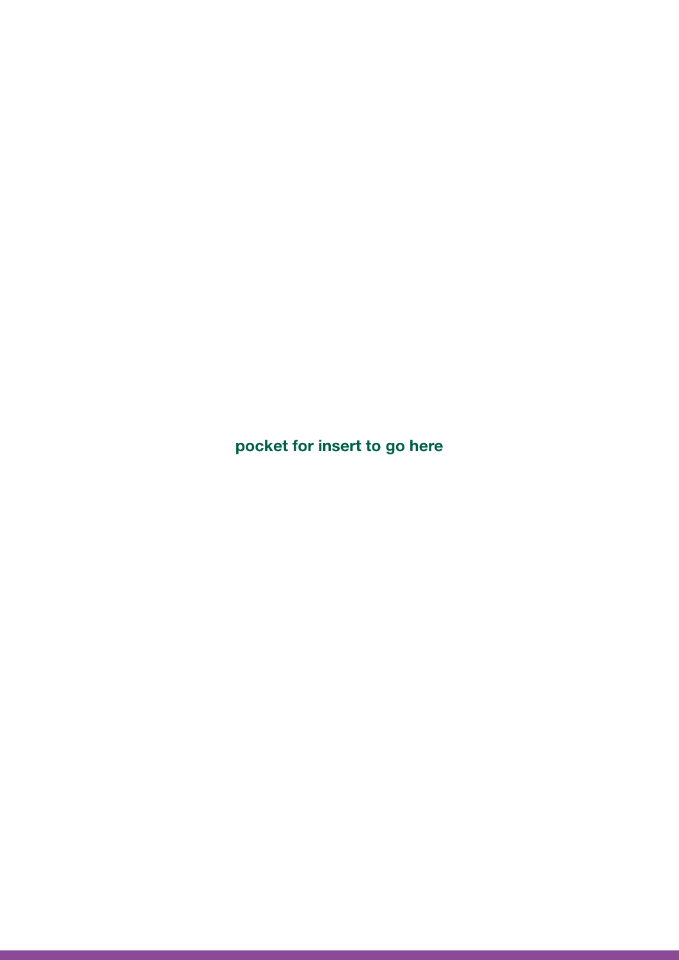pocket for insert to go here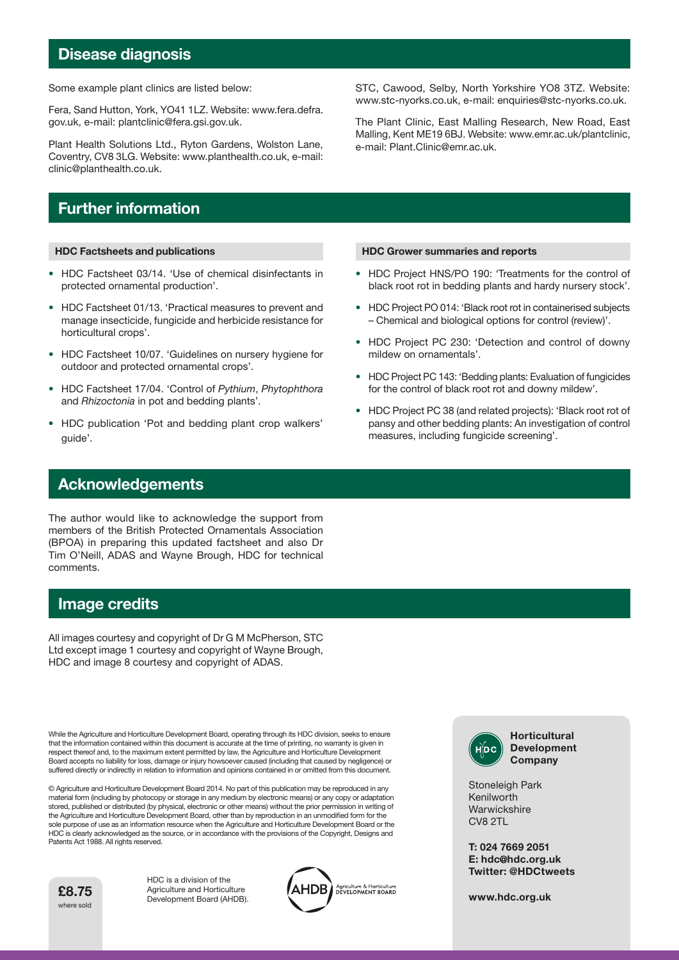# Disease diagnosis

Some example plant clinics are listed below:

Fera, Sand Hutton, York, YO41 1LZ. Website: www.fera.defra. gov.uk, e-mail: plantclinic@fera.gsi.gov.uk.

Plant Health Solutions Ltd., Ryton Gardens, Wolston Lane, Coventry, CV8 3LG. Website: www.planthealth.co.uk, e-mail: clinic@planthealth.co.uk.

# Further information

#### HDC Factsheets and publications

- HDC Factsheet 03/14. 'Use of chemical disinfectants in protected ornamental production'.
- HDC Factsheet 01/13. 'Practical measures to prevent and manage insecticide, fungicide and herbicide resistance for horticultural crops'.
- HDC Factsheet 10/07. 'Guidelines on nursery hygiene for outdoor and protected ornamental crops'.
- HDC Factsheet 17/04. 'Control of *Pythium*, *Phytophthora* and *Rhizoctonia* in pot and bedding plants'.
- HDC publication 'Pot and bedding plant crop walkers' guide'.

# Acknowledgements

The author would like to acknowledge the support from members of the British Protected Ornamentals Association (BPOA) in preparing this updated factsheet and also Dr Tim O'Neill, ADAS and Wayne Brough, HDC for technical comments.

### Image credits

All images courtesy and copyright of Dr G M McPherson, STC Ltd except image 1 courtesy and copyright of Wayne Brough, HDC and image 8 courtesy and copyright of ADAS.

While the Agriculture and Horticulture Development Board, operating through its HDC division, seeks to ensure that the information contained within this document is accurate at the time of printing, no warranty is given in respect thereof and, to the maximum extent permitted by law, the Agriculture and Horticulture Development Board accepts no liability for loss, damage or injury howsoever caused (including that caused by negligence) or suffered directly or indirectly in relation to information and opinions contained in or omitted from this document.

© Agriculture and Horticulture Development Board 2014. No part of this publication may be reproduced in any material form (including by photocopy or storage in any medium by electronic means) or any copy or adaptation stored, published or distributed (by physical, electronic or other means) without the prior permission in writing of the Agriculture and Horticulture Development Board, other than by reproduction in an unmodified form for the sole purpose of use as an information resource when the Agriculture and Horticulture Development Board or the HDC is clearly acknowledged as the source, or in accordance with the provisions of the Copyright, Designs and Patents Act 1988. All rights reserved.



HDC is a division of the Agriculture and Horticulture **1984 E8.75** Agriculture and Horticulture<br>Development Board (AHDB).



STC, Cawood, Selby, North Yorkshire YO8 3TZ. Website: www.stc-nyorks.co.uk, e-mail: enquiries@stc-nyorks.co.uk.

The Plant Clinic, East Malling Research, New Road, East Malling, Kent ME19 6BJ. Website: www.emr.ac.uk/plantclinic, e-mail: Plant.Clinic@emr.ac.uk.

#### HDC Grower summaries and reports

- HDC Project HNS/PO 190: 'Treatments for the control of black root rot in bedding plants and hardy nursery stock'.
- HDC Project PO 014: 'Black root rot in containerised subjects – Chemical and biological options for control (review)'.
- HDC Project PC 230: 'Detection and control of downy mildew on ornamentals'.
- HDC Project PC 143: 'Bedding plants: Evaluation of fungicides for the control of black root rot and downy mildew'.
- HDC Project PC 38 (and related projects): 'Black root rot of pansy and other bedding plants: An investigation of control measures, including fungicide screening'.



Stoneleigh Park Kenilworth **Warwickshire** CV8 2TL

T: 024 7669 2051 E: hdc@hdc.org.uk Twitter: @HDCtweets

www.hdc.org.uk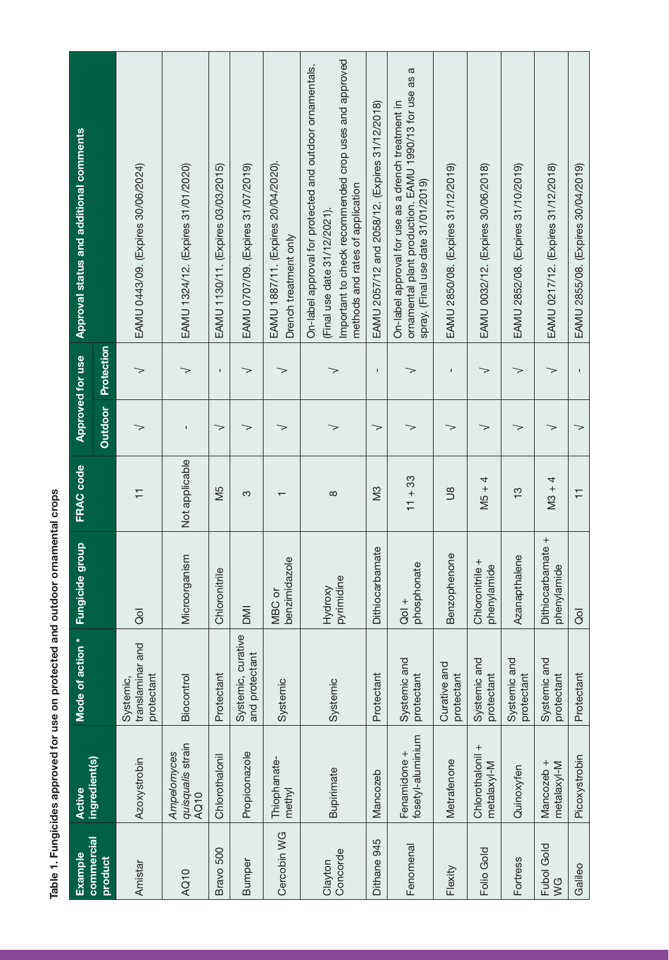| $\overline{\phantom{a}}$      |
|-------------------------------|
|                               |
|                               |
|                               |
| $\frac{1}{2}$                 |
| <br> <br> <br> <br> <br> <br> |
|                               |
|                               |
| i                             |
|                               |
|                               |

| Example                 | Active                                          | Mode of action *                            | <b>Fungicide group</b>                                   | FRAC code               | Approved for use |              | <b>Approval status and additional comments</b>                                                                                                                                        |
|-------------------------|-------------------------------------------------|---------------------------------------------|----------------------------------------------------------|-------------------------|------------------|--------------|---------------------------------------------------------------------------------------------------------------------------------------------------------------------------------------|
| commercial<br>product   | ingredient(s)                                   |                                             |                                                          |                         | <b>Outdoor</b>   | Protection   |                                                                                                                                                                                       |
| Amistar                 | <b>Azoxystrobin</b>                             | translaminar and<br>protectant<br>Systemic, | $\overline{8}$                                           | $\overline{\mathbf{r}}$ | >                | >            | EAMU 0443/09. (Expires 30/06/2024)                                                                                                                                                    |
| AQ10                    | quisqualis strain<br>Ampelomyces<br><b>AQ10</b> | Biocontrol                                  | Microorganism                                            | Not applicable          |                  | >            | EAMU 1324/12. (Expires 31/01/2020)                                                                                                                                                    |
| Bravo 500               | Chlorothalonil                                  | Protectant                                  | Chloronitrile                                            | Μ5                      | $\gt$            | $\mathsf I$  | EAMU 1130/11. (Expires 03/03/2015)                                                                                                                                                    |
| Bumper                  | Propiconazole                                   | Systemic, curative<br>and protectant        | $\overline{\mathbb{M}}$                                  | က                       | >                | >            | EAMU 0707/09. (Expires 31/07/2019)                                                                                                                                                    |
| Cercobin WG             | Thiophanate-<br>methyl                          | Systemic                                    | benzimidazole<br>MBC or                                  |                         | >                | >            | EAMU 1887/11. (Expires 20/04/2020).<br>Drench treatment only                                                                                                                          |
| Concorde<br>Clayton     | Bupirimate                                      | Systemic                                    | $\underline{\underline{\sigma}}$<br>pyrimidin<br>Hydroxy | $\infty$                |                  |              | Important to check recommended crop uses and approved<br>On-label approval for protected and outdoor ornamentals.<br>methods and rates of application<br>(Final use date 31/12/2021). |
| Dithane 945             | Mancozeb                                        | Protectant                                  | Dithiocarbamate                                          | SM                      | $\gt$            | $\mathbf I$  | EAMU 2057/12 and 2058/12. (Expires 31/12/2018)                                                                                                                                        |
| Fenomenal               | fosetyl-aluminium<br>Fenamidone +               | Systemic and<br>protectant                  | phosphonate<br>$rac{+}{0}$                               | $11 + 33$               |                  | >            | ornamental plant production. EAMU 1990/13 for use as a<br>On-label approval for use as a drench treatment in<br>spray. (Final use date 31/01/2019)                                    |
| Flexity                 | Metrafenone                                     | Curative and<br>protectant                  | Benzophenone                                             | $\frac{8}{1}$           | >                | $\mathbf{I}$ | EAMU 2850/08. (Expires 31/12/2019)                                                                                                                                                    |
| Folio Gold              | Chlorothalonil +<br>metalaxyl-M                 | Systemic and<br>protectant                  | Chloronitrile +<br>phenylamide                           | $M5 + 4$                | >                | $\gt$        | EAMU 0032/12. (Expires 30/06/2018)                                                                                                                                                    |
| Fortress                | Quinoxyfen                                      | Systemic and<br>protectant                  | Azanapthalene                                            | $\frac{1}{2}$           | >                | >            | EAMU 2852/08. (Expires 31/10/2019)                                                                                                                                                    |
| <b>Fubol Gold</b><br>VG | Mancozeb +<br>metalaxyl-M                       | Systemic and<br>protectant                  | Dithiocarbamate +<br>phenylamide                         | $M3 + 4$                | >                | $\gt$        | EAMU 0217/12. (Expires 31/12/2018)                                                                                                                                                    |
| Galileo                 | Picoxystrobin                                   | Protectant                                  | $\overline{Q}$                                           | Ξ                       | ▽                | $\mathbf{I}$ | EAMU 2855/08. (Expires 30/04/2019)                                                                                                                                                    |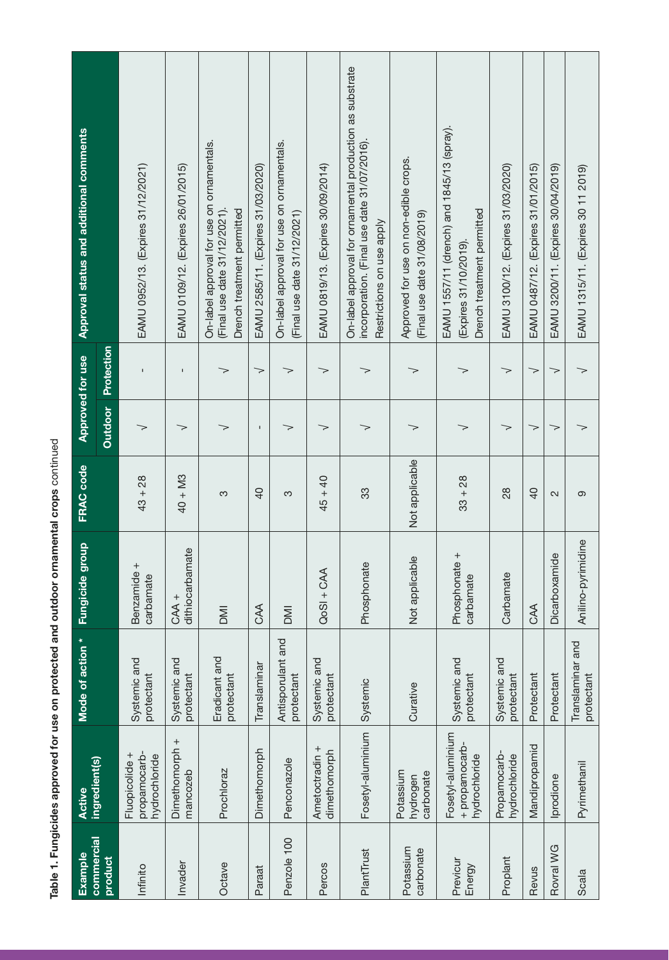Table 1. Fungicides approved for use on protected and outdoor ornamental crops continued Table 1. Fungicides approved for use on protected and outdoor ornamental crops continued

| <b>Approval status and additional comments</b> |                       | EAMU 0952/13. (Expires 31/12/2021)              | EAMU 0109/12. (Expires 26/01/2015) | On-label approval for use on ornamentals.<br>Drench treatment permitted<br>(Final use date 31/12/2021). | EAMU 2585/11. (Expires 31/03/2020) | On-label approval for use on ornamentals.<br>(Final use date 31/12/2021) | EAMU 0819/13. (Expires 30/09/2014) | On-label approval for ornamental production as substrate<br>incorporation. (Final use date 31/07/2016).<br>Restrictions on use apply | Approved for use on non-edible crops.<br>(Final use date 31/08/2019) | EAMU 1557/11 (drench) and 1845/13 (spray).<br>Drench treatment permitted<br>(Expires 31/10/2019) | EAMU 3100/12. (Expires 31/03/2020) | EAMU 0487/12. (Expires 31/01/2015) | EAMU 3200/11. (Expires 30/04/2019) | EAMU 1315/11. (Expires 30 11 2019) |
|------------------------------------------------|-----------------------|-------------------------------------------------|------------------------------------|---------------------------------------------------------------------------------------------------------|------------------------------------|--------------------------------------------------------------------------|------------------------------------|--------------------------------------------------------------------------------------------------------------------------------------|----------------------------------------------------------------------|--------------------------------------------------------------------------------------------------|------------------------------------|------------------------------------|------------------------------------|------------------------------------|
| Approved for use                               | Protection            | $\mathbf I$                                     | Ţ                                  | $\gt$                                                                                                   | $\gt$                              | >                                                                        | $\Rightarrow$                      | $\gt$                                                                                                                                | >                                                                    | >                                                                                                | >                                  | $\Rightarrow$                      | $\gt$                              | >                                  |
|                                                | <b>Qutdoor</b>        | >                                               | >                                  | >                                                                                                       | $\mathbf{I}$                       | >                                                                        | >                                  | >                                                                                                                                    | >                                                                    | >                                                                                                | $\gt$                              | ↘                                  | >                                  |                                    |
| FRAC code                                      |                       | $43 + 28$                                       | $40 + M3$                          | S                                                                                                       | 40                                 | က                                                                        | $45 + 40$                          | 33                                                                                                                                   | Not applicable                                                       | $33 + 28$                                                                                        | 28                                 | $\overline{Q}$                     | 2                                  | တ                                  |
| <b>Fungicide group</b>                         |                       | Benzamide +<br>carbamate                        | dithiocarbamate<br>CAA +           | <b>IMO</b>                                                                                              | CAA                                | <b>IMI</b>                                                               | $QoSI + CAA$                       | Phosphonate                                                                                                                          | Not applicable                                                       | Phosphonate +<br>carbamate                                                                       | Carbamate                          | CAA                                | Dicarboxamide                      | Anilino-pyrimidine                 |
| Mode of action *                               |                       | Systemic and<br>protectant                      | Systemic and<br>protectant         | Eradicant and<br>protectant                                                                             | Translaminar                       | Antisporulant and<br>protectant                                          | Systemic and<br>protectant         | Systemic                                                                                                                             | Curative                                                             | Systemic and<br>protectant                                                                       | Systemic and<br>protectant         | Protectant                         | Protectant                         | Translaminar and<br>protectant     |
| <b>Active</b>                                  | ingredient(s)         | propamocarb-<br>Fluopicolide +<br>hydrochloride | Dimethomorph +<br>mancozeb         | Prochloraz                                                                                              | Dimethomorph                       | Penconazole                                                              | Ametoctradin +<br>dimethomorph     | Fosetyl-aluminium                                                                                                                    | Potassium<br>carbonate<br>hydrogen                                   | Fosetyl-aluminium<br>+ propamocarb-<br>hydrochloride                                             | Propamocarb-<br>hydrochloride      | Mandipropamid                      | prodione                           | Pyrimethanil                       |
| Example                                        | commercial<br>product | Infinito                                        | Invader                            | Octave                                                                                                  | Paraat                             | Penzole 100                                                              | Percos                             | PlantTrust                                                                                                                           | Potassium<br>carbonate                                               | Previcur<br>Energy                                                                               | Proplant                           | Revus                              | Rovral WG                          | Scala                              |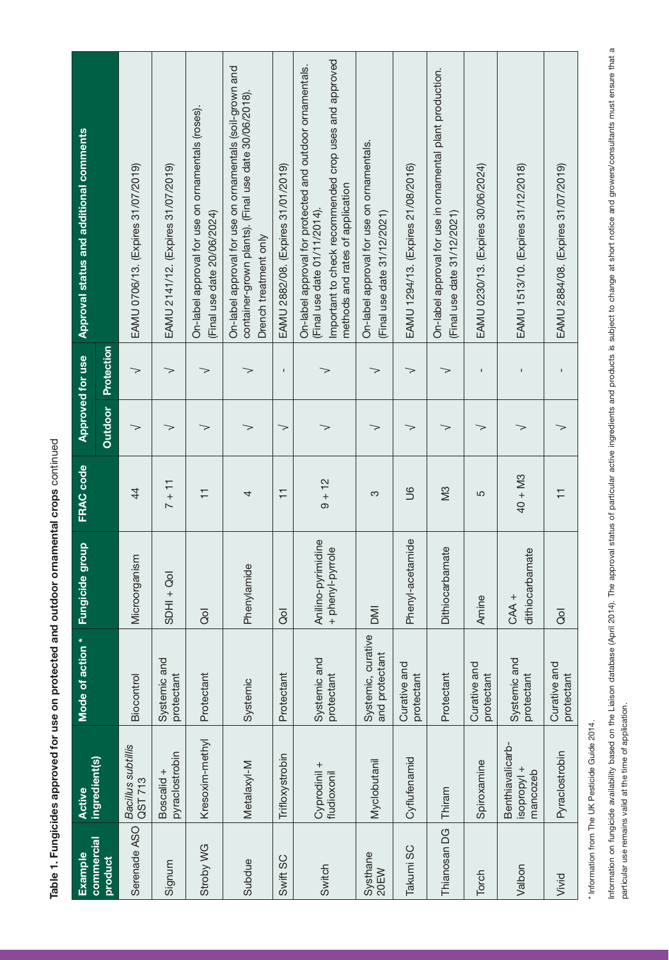Table 1. Fungicides approved for use on protected and outdoor ornamental crops continued continuedTable 1. Fungicides approved for use on protected and outdoor ornamental crops

| Example                      | Active                                      | Mode of action *                     | <b>Fungicide group</b>                 | FRAC code      |         | Approved for use | Approval status and additional comments                                                                                                                                              |
|------------------------------|---------------------------------------------|--------------------------------------|----------------------------------------|----------------|---------|------------------|--------------------------------------------------------------------------------------------------------------------------------------------------------------------------------------|
| <b>commercial</b><br>product | ingredient(s)                               |                                      |                                        |                | Outdoor | Protection       |                                                                                                                                                                                      |
| Serenade ASO                 | Bacillus subtillis<br>QST 713               | Biocontrol                           | Microorganism                          | $\overline{4}$ | $\gt$   | $\gt$            | EAMU 0706/13. (Expires 31/07/2019)                                                                                                                                                   |
| Signum                       | pyraclostrobin<br>Boscalid +                | Systemic and<br>protectant           | $SDHI + Qol$                           | $7 + 11$       | >       | $\gt$            | EAMU 2141/12. (Expires 31/07/2019)                                                                                                                                                   |
| Stroby WG                    | Kresoxim-methyl                             | Protectant                           | $\overline{Q}$                         | Ξ              | >       | >                | On-label approval for use on ornamentals (roses),<br>(Final use date 20/06/2024)                                                                                                     |
| Subdue                       | Metalaxyl-M                                 | Systemic                             | Phenylamide                            | 4              | >       | $\gt$            | On-label approval for use on ornamentals (soil-grown and<br>container-grown plants). (Final use date 30/06/2018).<br>Drench treatment only                                           |
| Swift SC                     | Trifloxystrobin                             | Protectant                           | $\overline{Q}$                         | $\overline{+}$ | ▽       | $\mathbf{I}$     | EAMU 2882/08. (Expires 31/01/2019)                                                                                                                                                   |
| Switch                       | Cyprodinil +<br>fludioxonil                 | Systemic and<br>protectant           | Anilino-pyrimidine<br>+ phenyl-pyrrole | $9 + 12$       |         | >                | Important to check recommended crop uses and approved<br>On-label approval for protected and outdoor ornamentals.<br>methods and rates of application<br>(Final use date 01/11/2014) |
| Systhane<br>20EW             | Myclobutanil                                | Systemic, curative<br>and protectant | <b>NIC</b>                             | S              | >       | >                | On-label approval for use on ornamentals.<br>(Final use date 31/12/2021)                                                                                                             |
| Takumi SC                    | Cyflufenamid                                | Curative and<br>protectant           | Phenyl-acetamide                       | 9U             | ➢       | >                | EAMU 1294/13. (Expires 21/08/2016)                                                                                                                                                   |
| Thianosan DG                 | Thiram                                      | Protectant                           | bamate<br>Dithiocar                    | SM             | >       | >                | On-label approval for use in ornamental plant production.<br>(Final use date 31/12/2021)                                                                                             |
| Torch                        | Spiroxamine                                 | Curative and<br>protectant           | Amine                                  | 5              | >       | $\mathbf{I}$     | EAMU 0230/13. (Expires 30/06/2024)                                                                                                                                                   |
| Valbon                       | Benthiavalicarb-<br>isopropyl +<br>mancozeb | Systemic and<br>protectant           | dithiocarbamate<br>CAA +               | $40 + M3$      | >       | $\blacksquare$   | EAMU 1513/10. (Expires 31/12/2018)                                                                                                                                                   |
| Vivid                        | Pyraclostrobin                              | Curative and<br>protectant           | $\overline{8}$                         | $\overline{+}$ | >       | $\mathbf{I}$     | EAMU 2884/08. (Expires 31/07/2019)                                                                                                                                                   |

\* Information from The UK Pesticide Guide 2014. \* Information from The UK Pesticide Guide 2014.

Information on fungicide availability based on the Liaison database (April 2014). The approval status of particular active ingredients and products is subject to change at short notice and growers/consultants must ensure t information on funglioide availability based (April 2014). The approval status of particular active ingredients and products is subject to change at short notice and growers/consultants must ensure that a particular use remains valid at the time of application. particular use remains valid at the time of application.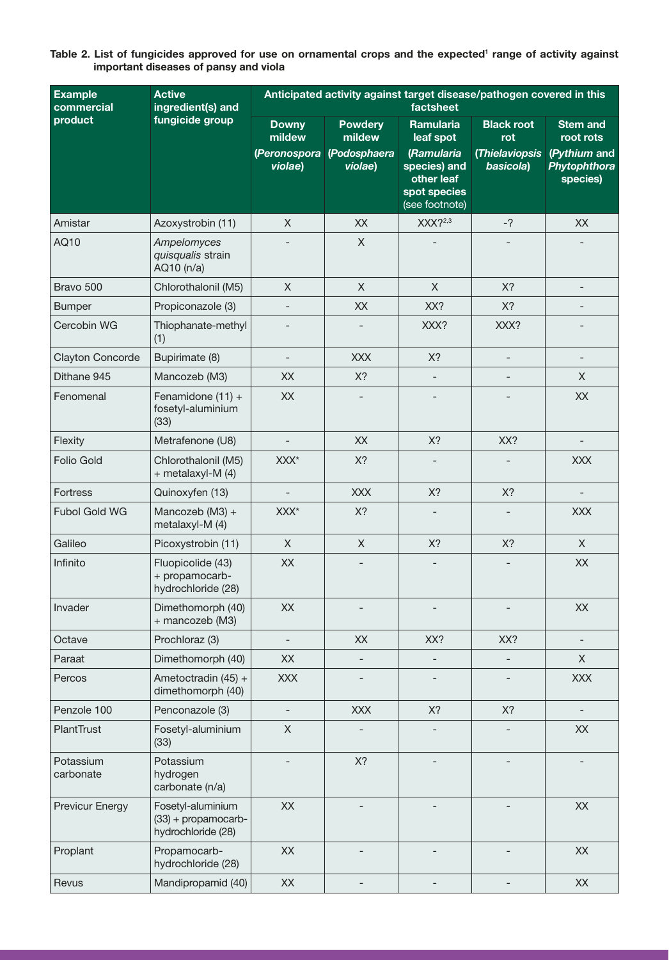| Table 2. List of fungicides approved for use on ornamental crops and the expected <sup>1</sup> range of activity against |  |  |  |
|--------------------------------------------------------------------------------------------------------------------------|--|--|--|
| important diseases of pansy and viola                                                                                    |  |  |  |

| <b>Example</b><br>commercial | <b>Active</b><br>ingredient(s) and                               | Anticipated activity against target disease/pathogen covered in this<br>factsheet |                          |                                                                            |                             |                                          |  |  |
|------------------------------|------------------------------------------------------------------|-----------------------------------------------------------------------------------|--------------------------|----------------------------------------------------------------------------|-----------------------------|------------------------------------------|--|--|
| product                      | fungicide group                                                  | <b>Downy</b><br>mildew                                                            | <b>Powdery</b><br>mildew | <b>Ramularia</b><br>leaf spot                                              | <b>Black root</b><br>rot    | <b>Stem and</b><br>root rots             |  |  |
|                              |                                                                  | (Peronospora<br>violae)                                                           | (Podosphaera<br>violae)  | (Ramularia<br>species) and<br>other leaf<br>spot species<br>(see footnote) | (Thielaviopsis<br>basicola) | (Pythium and<br>Phytophthora<br>species) |  |  |
| Amistar                      | Azoxystrobin (11)                                                | $\mathsf X$                                                                       | XX                       | $XXX$ ?2,3                                                                 | $-2$                        | XX                                       |  |  |
| AQ10                         | Ampelomyces<br>quisqualis strain<br>AQ10 (n/a)                   |                                                                                   | $\mathsf X$              |                                                                            |                             |                                          |  |  |
| Bravo 500                    | Chlorothalonil (M5)                                              | X                                                                                 | $\mathsf{X}% _{0}$       | $\mathsf X$                                                                | X?                          |                                          |  |  |
| <b>Bumper</b>                | Propiconazole (3)                                                |                                                                                   | XX                       | XX?                                                                        | X?                          |                                          |  |  |
| Cercobin WG                  | Thiophanate-methyl<br>(1)                                        |                                                                                   |                          | XXX?                                                                       | XXX?                        |                                          |  |  |
| Clayton Concorde             | Bupirimate (8)                                                   | $\overline{\phantom{a}}$                                                          | <b>XXX</b>               | X?                                                                         | $\overline{\phantom{0}}$    | $\overline{\phantom{a}}$                 |  |  |
| Dithane 945                  | Mancozeb (M3)                                                    | XX                                                                                | X?                       |                                                                            |                             | X                                        |  |  |
| Fenomenal                    | Fenamidone (11) +<br>fosetyl-aluminium<br>(33)                   | XX                                                                                |                          |                                                                            |                             | <b>XX</b>                                |  |  |
| Flexity                      | Metrafenone (U8)                                                 | $\qquad \qquad -$                                                                 | XX                       | X?                                                                         | XX?                         |                                          |  |  |
| Folio Gold                   | Chlorothalonil (M5)<br>+ metalaxyl-M (4)                         | XXX*                                                                              | X?                       |                                                                            |                             | <b>XXX</b>                               |  |  |
| Fortress                     | Quinoxyfen (13)                                                  | $\overline{\phantom{a}}$                                                          | <b>XXX</b>               | X?                                                                         | X?                          | $\overline{\phantom{a}}$                 |  |  |
| <b>Fubol Gold WG</b>         | Mancozeb (M3) +<br>metalaxyl-M (4)                               | XXX*                                                                              | X?                       | $\overline{\phantom{a}}$                                                   |                             | <b>XXX</b>                               |  |  |
| Galileo                      | Picoxystrobin (11)                                               | $\mathsf{X}$                                                                      | $\mathsf{X}$             | X?                                                                         | X?                          | X                                        |  |  |
| Infinito                     | Fluopicolide (43)<br>+ propamocarb-<br>hydrochloride (28)        | XX                                                                                |                          |                                                                            |                             | XX                                       |  |  |
| Invader                      | Dimethomorph (40)<br>+ mancozeb (M3)                             | XX                                                                                |                          |                                                                            |                             | XX                                       |  |  |
| Octave                       | Prochloraz (3)                                                   | $\overline{\phantom{a}}$                                                          | XX                       | XX?                                                                        | XX?                         |                                          |  |  |
| Paraat                       | Dimethomorph (40)                                                | XX                                                                                |                          | $\overline{\phantom{0}}$                                                   |                             | X                                        |  |  |
| Percos                       | Ametoctradin (45) +<br>dimethomorph (40)                         | <b>XXX</b>                                                                        |                          |                                                                            |                             | <b>XXX</b>                               |  |  |
| Penzole 100                  | Penconazole (3)                                                  | $\qquad \qquad -$                                                                 | <b>XXX</b>               | X?                                                                         | X?                          | $\overline{\phantom{a}}$                 |  |  |
| PlantTrust                   | Fosetyl-aluminium<br>(33)                                        | $\mathsf X$                                                                       |                          | $\overline{\phantom{a}}$                                                   |                             | XX                                       |  |  |
| Potassium<br>carbonate       | Potassium<br>hydrogen<br>carbonate (n/a)                         | $\overline{\phantom{a}}$                                                          | X?                       |                                                                            |                             |                                          |  |  |
| <b>Previcur Energy</b>       | Fosetyl-aluminium<br>$(33) +$ propamocarb-<br>hydrochloride (28) | XX                                                                                |                          |                                                                            |                             | XX                                       |  |  |
| Proplant                     | Propamocarb-<br>hydrochloride (28)                               | XX                                                                                |                          |                                                                            |                             | XX                                       |  |  |
| Revus                        | Mandipropamid (40)                                               | XX                                                                                |                          |                                                                            |                             | $\mathsf{XX}$                            |  |  |